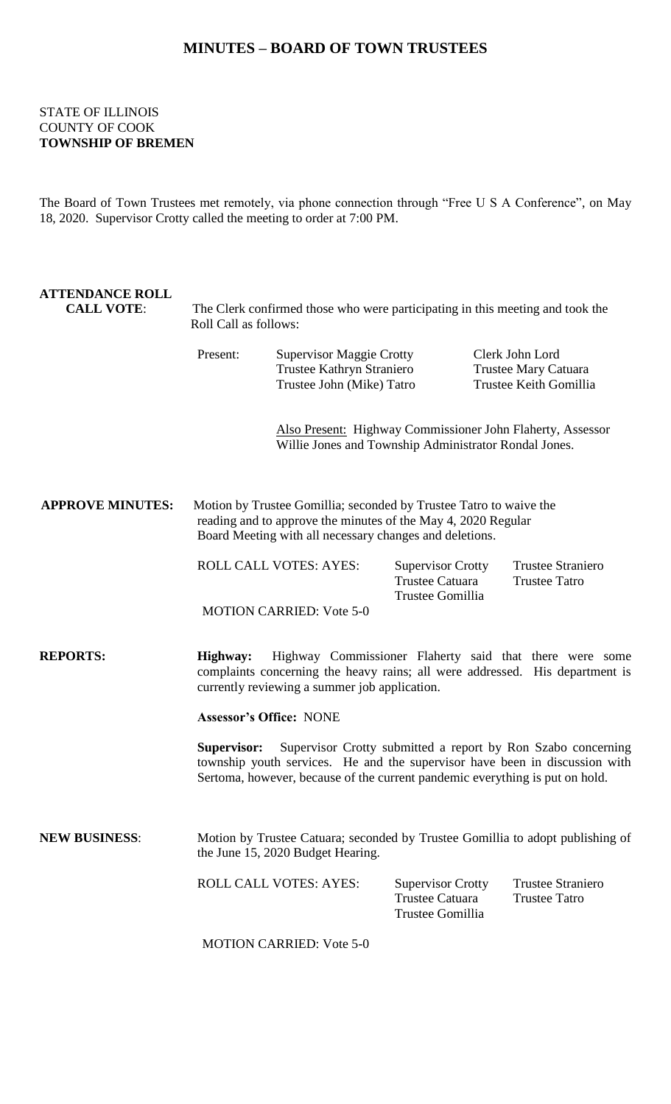### **MINUTES – BOARD OF TOWN TRUSTEES**

#### STATE OF ILLINOIS COUNTY OF COOK **TOWNSHIP OF BREMEN**

The Board of Town Trustees met remotely, via phone connection through "Free U S A Conference", on May 18, 2020. Supervisor Crotty called the meeting to order at 7:00 PM.

# **ATTENDANCE ROLL**

 **CALL VOTE**: The Clerk confirmed those who were participating in this meeting and took the Roll Call as follows: Present: Supervisor Maggie Crotty Clerk John Lord Trustee Kathryn Straniero<br>Trustee John (Mike) Tatro Trustee Keith Gomillia Trustee John (Mike) Tatro Also Present: Highway Commissioner John Flaherty, Assessor Willie Jones and Township Administrator Rondal Jones.  **APPROVE MINUTES:** Motion by Trustee Gomillia; seconded by Trustee Tatro to waive the reading and to approve the minutes of the May 4, 2020 Regular Board Meeting with all necessary changes and deletions. ROLL CALL VOTES: AYES: Supervisor Crotty Trustee Straniero Trustee Catuara Trustee Tatro Trustee Gomillia MOTION CARRIED: Vote 5-0 **REPORTS: Highway:** Highway Commissioner Flaherty said that there were some complaints concerning the heavy rains; all were addressed. His department is currently reviewing a summer job application. **Assessor's Office:** NONE **Supervisor:** Supervisor Crotty submitted a report by Ron Szabo concerning township youth services. He and the supervisor have been in discussion with Sertoma, however, because of the current pandemic everything is put on hold. **NEW BUSINESS**: Motion by Trustee Catuara; seconded by Trustee Gomillia to adopt publishing of the June 15, 2020 Budget Hearing.

> **ROLL CALL VOTES: AYES:** Supervisor Crotty Trustee Straniero Trustee Catuara Trustee Tatro Trustee Gomillia

MOTION CARRIED: Vote 5-0